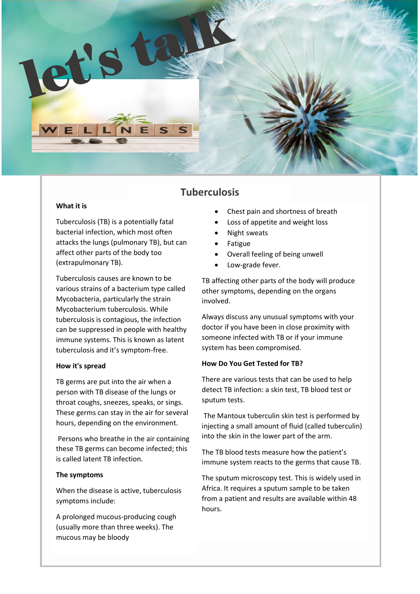

# **Tuberculosis**

## **What it is**

Tuberculosis (TB) is a potentially fatal bacterial infection, which most often attacks the lungs (pulmonary TB), but can affect other parts of the body too (extrapulmonary TB).

Tuberculosis causes are known to be various strains of a bacterium type called Mycobacteria, particularly the strain Mycobacterium tuberculosis. While tuberculosis is contagious, the infection can be suppressed in people with healthy immune systems. This is known as latent tuberculosis and it's symptom-free.

## **How it's spread**

TB germs are put into the air when a person with TB disease of the lungs or throat coughs, sneezes, speaks, or sings. These germs can stay in the air for several hours, depending on the environment.

Persons who breathe in the air containing these TB germs can become infected; this is called latent TB infection.

## **The symptoms**

When the disease is active, tuberculosis symptoms include:

A prolonged mucous-producing cough (usually more than three weeks). The mucous may be bloody

- Chest pain and shortness of breath
- Loss of appetite and weight loss
- Night sweats
- Fatigue
- Overall feeling of being unwell
- Low-grade fever.

TB affecting other parts of the body will produce other symptoms, depending on the organs involved.

Always discuss any unusual symptoms with your doctor if you have been in close proximity with someone infected with TB or if your immune system has been compromised.

## **How Do You Get Tested for TB?**

There are various tests that can be used to help detect TB infection: a skin test, TB blood test or sputum tests.

The Mantoux tuberculin skin test is performed by injecting a small amount of fluid (called tuberculin) into the skin in the lower part of the arm.

The TB blood tests measure how the patient's immune system reacts to the germs that cause TB.

The sputum microscopy test. This is widely used in Africa. It requires a sputum sample to be taken from a patient and results are available within 48 hours.